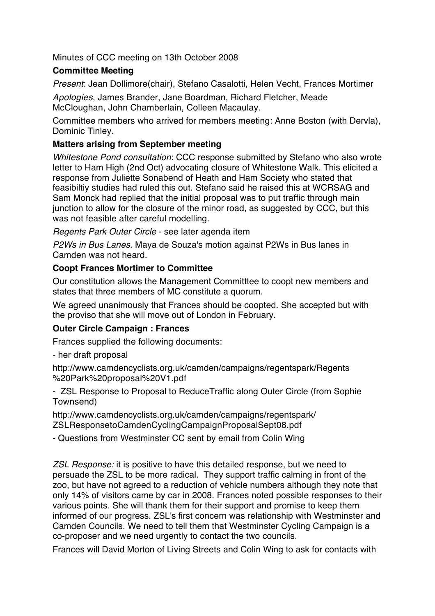Minutes of CCC meeting on 13th October 2008

### **Committee Meeting**

*Present*: Jean Dollimore(chair), Stefano Casalotti, Helen Vecht, Frances Mortimer

*Apologies*, James Brander, Jane Boardman, Richard Fletcher, Meade McCloughan, John Chamberlain, Colleen Macaulay.

Committee members who arrived for members meeting: Anne Boston (with Dervla), Dominic Tinley.

### **Matters arising from September meeting**

*Whitestone Pond consultation*: CCC response submitted by Stefano who also wrote letter to Ham High (2nd Oct) advocating closure of Whitestone Walk. This elicited a response from Juliette Sonabend of Heath and Ham Society who stated that feasibiltiy studies had ruled this out. Stefano said he raised this at WCRSAG and Sam Monck had replied that the initial proposal was to put traffic through main junction to allow for the closure of the minor road, as suggested by CCC, but this was not feasible after careful modelling.

*Regents Park Outer Circle* - see later agenda item

*P2Ws in Bus Lanes*. Maya de Souza's motion against P2Ws in Bus lanes in Camden was not heard.

#### **Coopt Frances Mortimer to Committee**

Our constitution allows the Management Committtee to coopt new members and states that three members of MC constitute a quorum.

We agreed unanimously that Frances should be coopted. She accepted but with the proviso that she will move out of London in February.

# **Outer Circle Campaign : Frances**

Frances supplied the following documents:

- her draft proposal

http://www.camdencyclists.org.uk/camden/campaigns/regentspark/Regents %20Park%20proposal%20V1.pdf

- ZSL Response to Proposal to ReduceTraffic along Outer Circle (from Sophie Townsend)

http://www.camdencyclists.org.uk/camden/campaigns/regentspark/ ZSLResponsetoCamdenCyclingCampaignProposalSept08.pdf

- Questions from Westminster CC sent by email from Colin Wing

*ZSL Response:* it is positive to have this detailed response, but we need to persuade the ZSL to be more radical. They support traffic calming in front of the zoo, but have not agreed to a reduction of vehicle numbers although they note that only 14% of visitors came by car in 2008. Frances noted possible responses to their various points. She will thank them for their support and promise to keep them informed of our progress. ZSL's first concern was relationship with Westminster and Camden Councils. We need to tell them that Westminster Cycling Campaign is a co-proposer and we need urgently to contact the two councils.

Frances will David Morton of Living Streets and Colin Wing to ask for contacts with